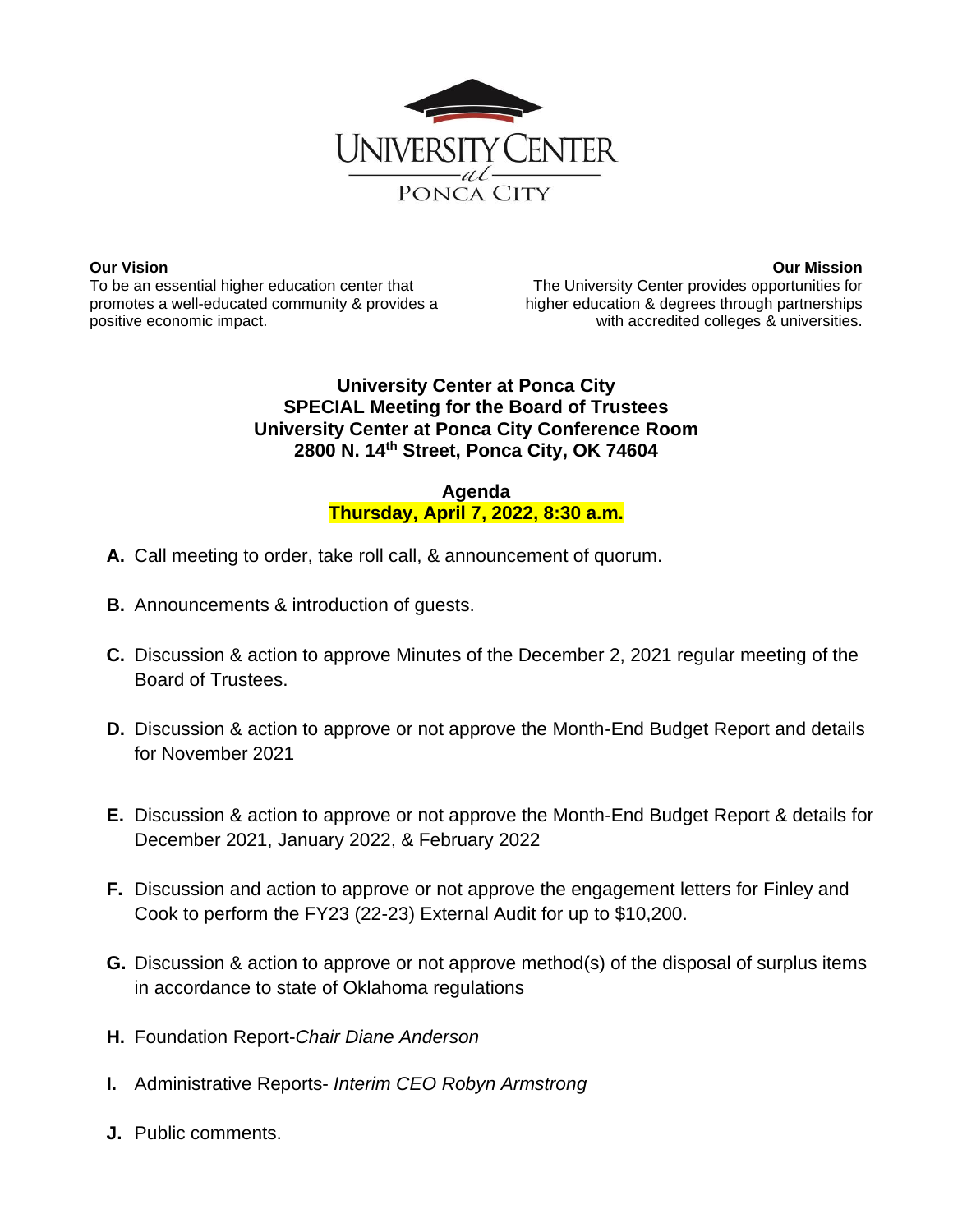

**Our Vision** To be an essential higher education center that promotes a well-educated community & provides a positive economic impact.

**Our Mission** The University Center provides opportunities for higher education & degrees through partnerships with accredited colleges & universities.

## **University Center at Ponca City SPECIAL Meeting for the Board of Trustees University Center at Ponca City Conference Room 2800 N. 14th Street, Ponca City, OK 74604**

## **Agenda Thursday, April 7, 2022, 8:30 a.m.**

- **A.** Call meeting to order, take roll call, & announcement of quorum.
- **B.** Announcements & introduction of guests.
- **C.** Discussion & action to approve Minutes of the December 2, 2021 regular meeting of the Board of Trustees.
- **D.** Discussion & action to approve or not approve the Month-End Budget Report and details for November 2021
- **E.** Discussion & action to approve or not approve the Month-End Budget Report & details for December 2021, January 2022, & February 2022
- **F.** Discussion and action to approve or not approve the engagement letters for Finley and Cook to perform the FY23 (22-23) External Audit for up to \$10,200.
- **G.** Discussion & action to approve or not approve method(s) of the disposal of surplus items in accordance to state of Oklahoma regulations
- **H.** Foundation Report-*Chair Diane Anderson*
- **I.** Administrative Reports- *Interim CEO Robyn Armstrong*
- **J.** Public comments.